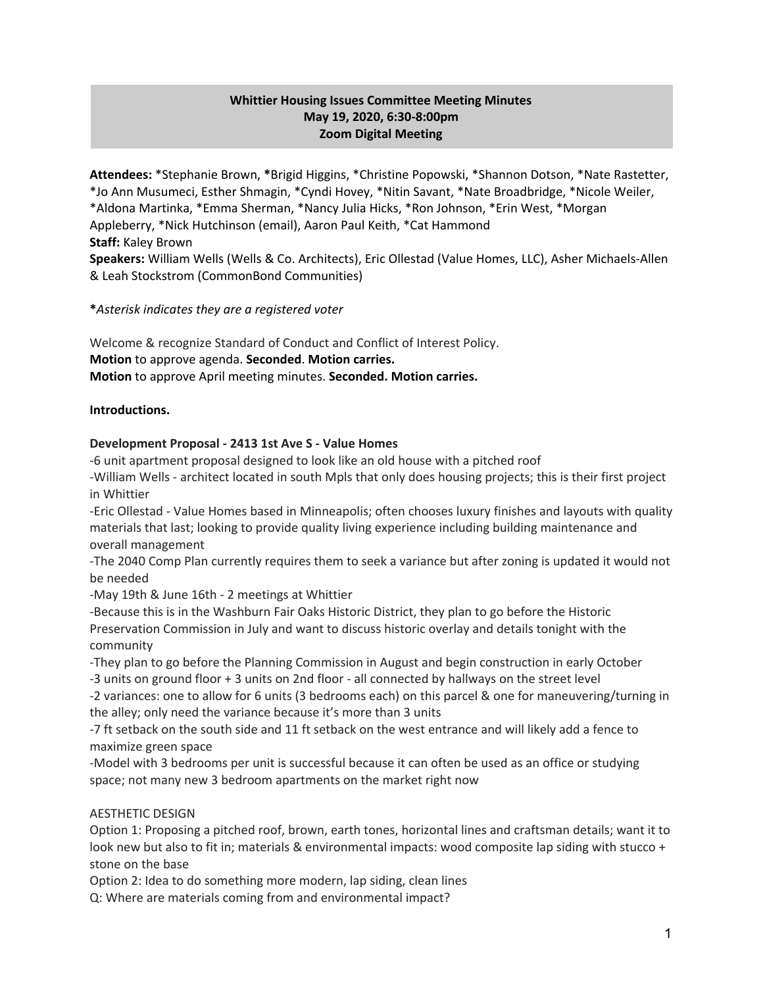# **Whittier Housing Issues Committee Meeting Minutes May 19, 2020, 6:30-8:00pm Zoom Digital Meeting**

**Attendees:** \*Stephanie Brown, **\***Brigid Higgins, \*Christine Popowski, \*Shannon Dotson, \*Nate Rastetter, \*Jo Ann Musumeci, Esther Shmagin, \*Cyndi Hovey, \*Nitin Savant, \*Nate Broadbridge, \*Nicole Weiler, \*Aldona Martinka, \*Emma Sherman, \*Nancy Julia Hicks, \*Ron Johnson, \*Erin West, \*Morgan Appleberry, \*Nick Hutchinson (email), Aaron Paul Keith, \*Cat Hammond **Staff:** Kaley Brown **Speakers:** William Wells (Wells & Co. Architects), Eric Ollestad (Value Homes, LLC), Asher Michaels-Allen

& Leah Stockstrom (CommonBond Communities)

## **\****Asterisk indicates they are a registered voter*

Welcome & recognize Standard of Conduct and Conflict of Interest Policy. **Motion** to approve agenda. **Seconded**. **Motion carries. Motion** to approve April meeting minutes. **Seconded. Motion carries.**

## **Introductions.**

## **Development Proposal - 2413 1st Ave S - Value Homes**

-6 unit apartment proposal designed to look like an old house with a pitched roof -William Wells - architect located in south Mpls that only does housing projects; this is their first project in Whittier

-Eric Ollestad - Value Homes based in Minneapolis; often chooses luxury finishes and layouts with quality materials that last; looking to provide quality living experience including building maintenance and overall management

-The 2040 Comp Plan currently requires them to seek a variance but after zoning is updated it would not be needed

-May 19th & June 16th - 2 meetings at Whittier

-Because this is in the Washburn Fair Oaks Historic District, they plan to go before the Historic Preservation Commission in July and want to discuss historic overlay and details tonight with the community

-They plan to go before the Planning Commission in August and begin construction in early October

-3 units on ground floor + 3 units on 2nd floor - all connected by hallways on the street level

-2 variances: one to allow for 6 units (3 bedrooms each) on this parcel & one for maneuvering/turning in the alley; only need the variance because it's more than 3 units

-7 ft setback on the south side and 11 ft setback on the west entrance and will likely add a fence to maximize green space

-Model with 3 bedrooms per unit is successful because it can often be used as an office or studying space; not many new 3 bedroom apartments on the market right now

#### AESTHETIC DESIGN

Option 1: Proposing a pitched roof, brown, earth tones, horizontal lines and craftsman details; want it to look new but also to fit in; materials & environmental impacts: wood composite lap siding with stucco + stone on the base

Option 2: Idea to do something more modern, lap siding, clean lines

Q: Where are materials coming from and environmental impact?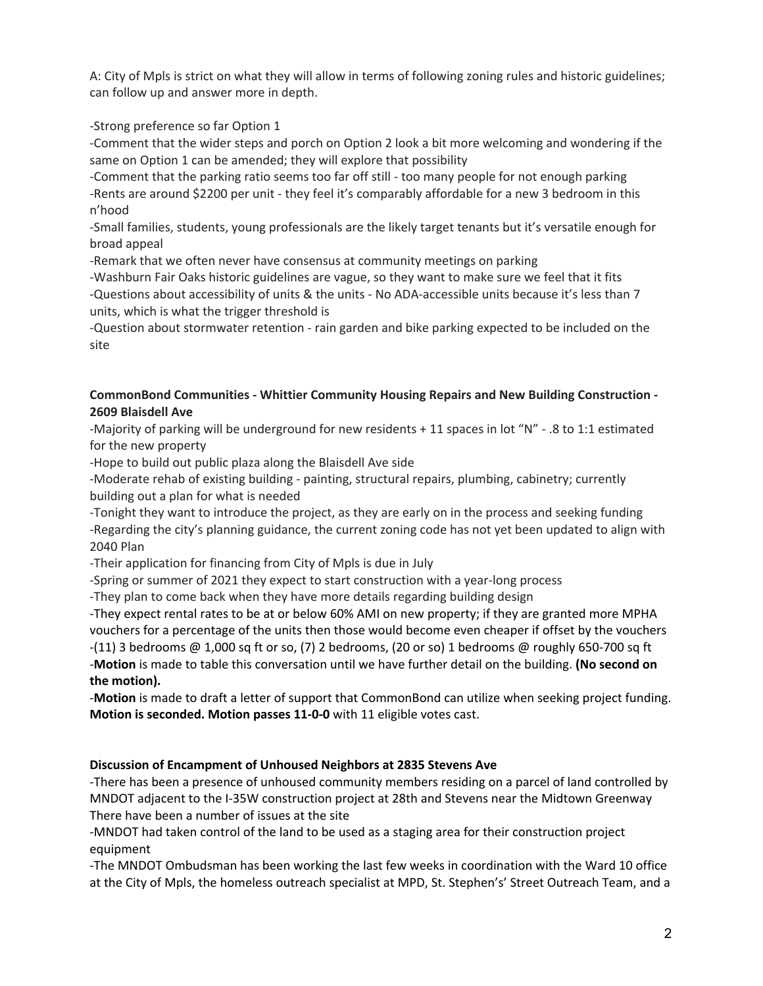A: City of Mpls is strict on what they will allow in terms of following zoning rules and historic guidelines; can follow up and answer more in depth.

-Strong preference so far Option 1

-Comment that the wider steps and porch on Option 2 look a bit more welcoming and wondering if the same on Option 1 can be amended; they will explore that possibility

-Comment that the parking ratio seems too far off still - too many people for not enough parking -Rents are around \$2200 per unit - they feel it's comparably affordable for a new 3 bedroom in this n'hood

-Small families, students, young professionals are the likely target tenants but it's versatile enough for broad appeal

-Remark that we often never have consensus at community meetings on parking

-Washburn Fair Oaks historic guidelines are vague, so they want to make sure we feel that it fits -Questions about accessibility of units & the units - No ADA-accessible units because it's less than 7 units, which is what the trigger threshold is

-Question about stormwater retention - rain garden and bike parking expected to be included on the site

# **CommonBond Communities - Whittier Community Housing Repairs and New Building Construction - 2609 Blaisdell Ave**

-Majority of parking will be underground for new residents + 11 spaces in lot "N" - .8 to 1:1 estimated for the new property

-Hope to build out public plaza along the Blaisdell Ave side

-Moderate rehab of existing building - painting, structural repairs, plumbing, cabinetry; currently building out a plan for what is needed

-Tonight they want to introduce the project, as they are early on in the process and seeking funding -Regarding the city's planning guidance, the current zoning code has not yet been updated to align with 2040 Plan

-Their application for financing from City of Mpls is due in July

-Spring or summer of 2021 they expect to start construction with a year-long process

-They plan to come back when they have more details regarding building design

-They expect rental rates to be at or below 60% AMI on new property; if they are granted more MPHA vouchers for a percentage of the units then those would become even cheaper if offset by the vouchers -(11) 3 bedrooms @ 1,000 sq ft or so, (7) 2 bedrooms, (20 or so) 1 bedrooms @ roughly 650-700 sq ft -**Motion** is made to table this conversation until we have further detail on the building. **(No second on**

**the motion).**

-**Motion** is made to draft a letter of support that CommonBond can utilize when seeking project funding. **Motion is seconded. Motion passes 11-0-0** with 11 eligible votes cast.

# **Discussion of Encampment of Unhoused Neighbors at 2835 Stevens Ave**

-There has been a presence of unhoused community members residing on a parcel of land controlled by MNDOT adjacent to the I-35W construction project at 28th and Stevens near the Midtown Greenway There have been a number of issues at the site

-MNDOT had taken control of the land to be used as a staging area for their construction project equipment

-The MNDOT Ombudsman has been working the last few weeks in coordination with the Ward 10 office at the City of Mpls, the homeless outreach specialist at MPD, St. Stephen's' Street Outreach Team, and a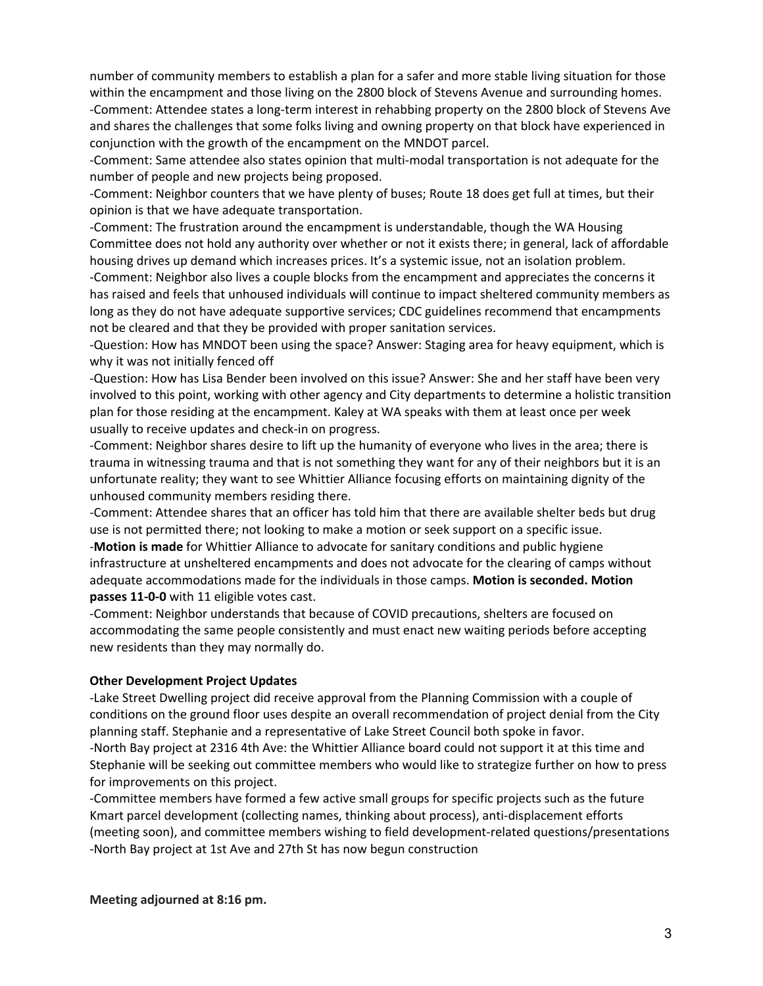number of community members to establish a plan for a safer and more stable living situation for those within the encampment and those living on the 2800 block of Stevens Avenue and surrounding homes. -Comment: Attendee states a long-term interest in rehabbing property on the 2800 block of Stevens Ave and shares the challenges that some folks living and owning property on that block have experienced in conjunction with the growth of the encampment on the MNDOT parcel.

-Comment: Same attendee also states opinion that multi-modal transportation is not adequate for the number of people and new projects being proposed.

-Comment: Neighbor counters that we have plenty of buses; Route 18 does get full at times, but their opinion is that we have adequate transportation.

-Comment: The frustration around the encampment is understandable, though the WA Housing Committee does not hold any authority over whether or not it exists there; in general, lack of affordable housing drives up demand which increases prices. It's a systemic issue, not an isolation problem.

-Comment: Neighbor also lives a couple blocks from the encampment and appreciates the concerns it has raised and feels that unhoused individuals will continue to impact sheltered community members as long as they do not have adequate supportive services; CDC guidelines recommend that encampments not be cleared and that they be provided with proper sanitation services.

-Question: How has MNDOT been using the space? Answer: Staging area for heavy equipment, which is why it was not initially fenced off

-Question: How has Lisa Bender been involved on this issue? Answer: She and her staff have been very involved to this point, working with other agency and City departments to determine a holistic transition plan for those residing at the encampment. Kaley at WA speaks with them at least once per week usually to receive updates and check-in on progress.

-Comment: Neighbor shares desire to lift up the humanity of everyone who lives in the area; there is trauma in witnessing trauma and that is not something they want for any of their neighbors but it is an unfortunate reality; they want to see Whittier Alliance focusing efforts on maintaining dignity of the unhoused community members residing there.

-Comment: Attendee shares that an officer has told him that there are available shelter beds but drug use is not permitted there; not looking to make a motion or seek support on a specific issue. -**Motion is made** for Whittier Alliance to advocate for sanitary conditions and public hygiene infrastructure at unsheltered encampments and does not advocate for the clearing of camps without adequate accommodations made for the individuals in those camps. **Motion is seconded. Motion passes 11-0-0** with 11 eligible votes cast.

-Comment: Neighbor understands that because of COVID precautions, shelters are focused on accommodating the same people consistently and must enact new waiting periods before accepting new residents than they may normally do.

#### **Other Development Project Updates**

-Lake Street Dwelling project did receive approval from the Planning Commission with a couple of conditions on the ground floor uses despite an overall recommendation of project denial from the City planning staff. Stephanie and a representative of Lake Street Council both spoke in favor. -North Bay project at 2316 4th Ave: the Whittier Alliance board could not support it at this time and Stephanie will be seeking out committee members who would like to strategize further on how to press for improvements on this project.

-Committee members have formed a few active small groups for specific projects such as the future Kmart parcel development (collecting names, thinking about process), anti-displacement efforts (meeting soon), and committee members wishing to field development-related questions/presentations -North Bay project at 1st Ave and 27th St has now begun construction